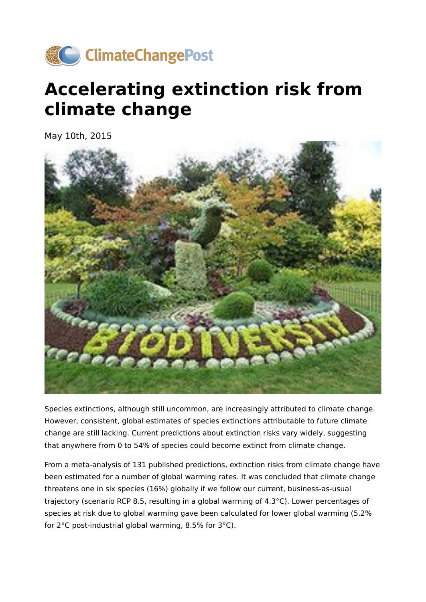

## **Accelerating extinction risk from climate change**

May 10th, 2015



Species extinctions, although still uncommon, are increasingly attributed to climate change. However, consistent, global estimates of species extinctions attributable to future climate change are still lacking. Current predictions about extinction risks vary widely, suggesting that anywhere from 0 to 54% of species could become extinct from climate change.

From a meta-analysis of 131 published predictions, extinction risks from climate change have been estimated for a number of global warming rates. It was concluded that climate change threatens one in six species (16%) globally if we follow our current, business-as-usual trajectory (scenario RCP 8.5, resulting in a global warming of 4.3°C). Lower percentages of species at risk due to global warming gave been calculated for lower global warming (5.2% for 2°C post-industrial global warming, 8.5% for 3°C).